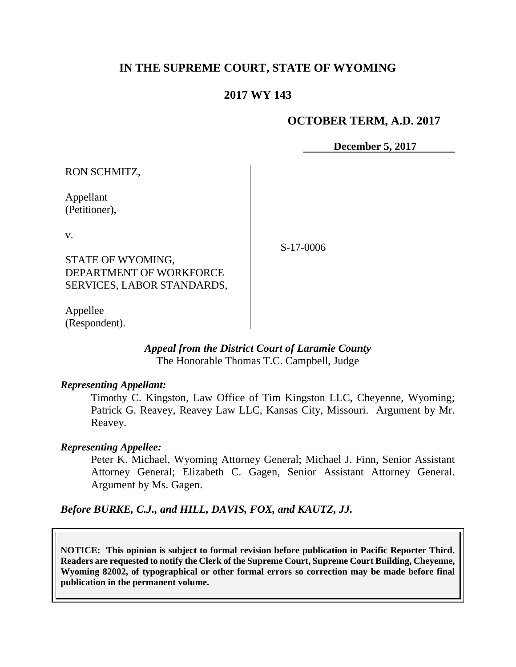# **IN THE SUPREME COURT, STATE OF WYOMING**

## **2017 WY 143**

## **OCTOBER TERM, A.D. 2017**

**December 5, 2017**

RON SCHMITZ,

Appellant (Petitioner),

v.

STATE OF WYOMING, DEPARTMENT OF WORKFORCE SERVICES, LABOR STANDARDS,

Appellee (Respondent).

*Appeal from the District Court of Laramie County*

The Honorable Thomas T.C. Campbell, Judge

#### *Representing Appellant:*

Timothy C. Kingston, Law Office of Tim Kingston LLC, Cheyenne, Wyoming; Patrick G. Reavey, Reavey Law LLC, Kansas City, Missouri. Argument by Mr. Reavey.

### *Representing Appellee:*

Peter K. Michael, Wyoming Attorney General; Michael J. Finn, Senior Assistant Attorney General; Elizabeth C. Gagen, Senior Assistant Attorney General. Argument by Ms. Gagen.

*Before BURKE, C.J., and HILL, DAVIS, FOX, and KAUTZ, JJ.*

**NOTICE: This opinion is subject to formal revision before publication in Pacific Reporter Third. Readers are requested to notify the Clerk of the Supreme Court, Supreme Court Building, Cheyenne, Wyoming 82002, of typographical or other formal errors so correction may be made before final publication in the permanent volume.**

S-17-0006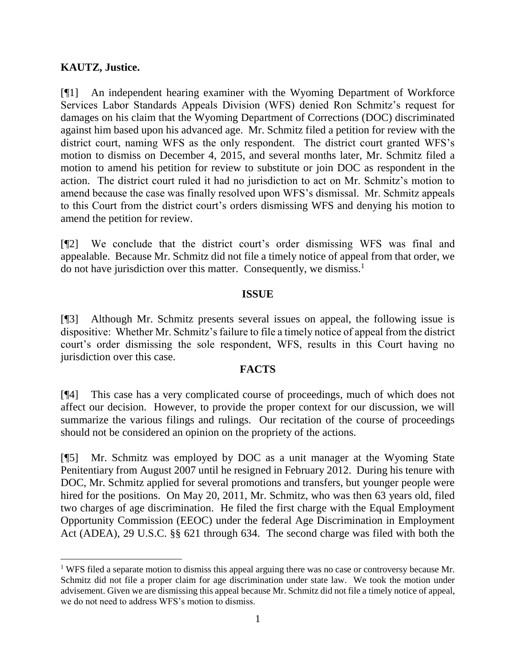## **KAUTZ, Justice.**

[¶1] An independent hearing examiner with the Wyoming Department of Workforce Services Labor Standards Appeals Division (WFS) denied Ron Schmitz's request for damages on his claim that the Wyoming Department of Corrections (DOC) discriminated against him based upon his advanced age. Mr. Schmitz filed a petition for review with the district court, naming WFS as the only respondent. The district court granted WFS's motion to dismiss on December 4, 2015, and several months later, Mr. Schmitz filed a motion to amend his petition for review to substitute or join DOC as respondent in the action. The district court ruled it had no jurisdiction to act on Mr. Schmitz's motion to amend because the case was finally resolved upon WFS's dismissal. Mr. Schmitz appeals to this Court from the district court's orders dismissing WFS and denying his motion to amend the petition for review.

[¶2] We conclude that the district court's order dismissing WFS was final and appealable. Because Mr. Schmitz did not file a timely notice of appeal from that order, we do not have jurisdiction over this matter. Consequently, we dismiss.<sup>1</sup>

### **ISSUE**

[¶3] Although Mr. Schmitz presents several issues on appeal, the following issue is dispositive: Whether Mr. Schmitz's failure to file a timely notice of appeal from the district court's order dismissing the sole respondent, WFS, results in this Court having no jurisdiction over this case.

### **FACTS**

[¶4] This case has a very complicated course of proceedings, much of which does not affect our decision. However, to provide the proper context for our discussion, we will summarize the various filings and rulings. Our recitation of the course of proceedings should not be considered an opinion on the propriety of the actions.

[¶5] Mr. Schmitz was employed by DOC as a unit manager at the Wyoming State Penitentiary from August 2007 until he resigned in February 2012. During his tenure with DOC, Mr. Schmitz applied for several promotions and transfers, but younger people were hired for the positions. On May 20, 2011, Mr. Schmitz, who was then 63 years old, filed two charges of age discrimination. He filed the first charge with the Equal Employment Opportunity Commission (EEOC) under the federal Age Discrimination in Employment Act (ADEA), 29 U.S.C. §§ 621 through 634. The second charge was filed with both the

 <sup>1</sup> WFS filed a separate motion to dismiss this appeal arguing there was no case or controversy because Mr. Schmitz did not file a proper claim for age discrimination under state law. We took the motion under advisement. Given we are dismissing this appeal because Mr. Schmitz did not file a timely notice of appeal, we do not need to address WFS's motion to dismiss.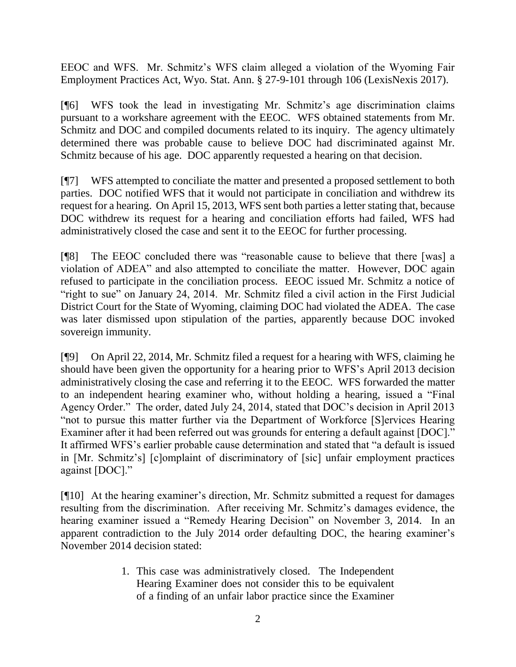EEOC and WFS. Mr. Schmitz's WFS claim alleged a violation of the Wyoming Fair Employment Practices Act, Wyo. Stat. Ann. § 27-9-101 through 106 (LexisNexis 2017).

[¶6] WFS took the lead in investigating Mr. Schmitz's age discrimination claims pursuant to a workshare agreement with the EEOC. WFS obtained statements from Mr. Schmitz and DOC and compiled documents related to its inquiry. The agency ultimately determined there was probable cause to believe DOC had discriminated against Mr. Schmitz because of his age. DOC apparently requested a hearing on that decision.

[¶7] WFS attempted to conciliate the matter and presented a proposed settlement to both parties. DOC notified WFS that it would not participate in conciliation and withdrew its request for a hearing. On April 15, 2013, WFS sent both parties a letter stating that, because DOC withdrew its request for a hearing and conciliation efforts had failed, WFS had administratively closed the case and sent it to the EEOC for further processing.

[¶8] The EEOC concluded there was "reasonable cause to believe that there [was] a violation of ADEA" and also attempted to conciliate the matter. However, DOC again refused to participate in the conciliation process. EEOC issued Mr. Schmitz a notice of "right to sue" on January 24, 2014. Mr. Schmitz filed a civil action in the First Judicial District Court for the State of Wyoming, claiming DOC had violated the ADEA. The case was later dismissed upon stipulation of the parties, apparently because DOC invoked sovereign immunity.

[¶9] On April 22, 2014, Mr. Schmitz filed a request for a hearing with WFS, claiming he should have been given the opportunity for a hearing prior to WFS's April 2013 decision administratively closing the case and referring it to the EEOC. WFS forwarded the matter to an independent hearing examiner who, without holding a hearing, issued a "Final Agency Order." The order, dated July 24, 2014, stated that DOC's decision in April 2013 "not to pursue this matter further via the Department of Workforce [S]ervices Hearing Examiner after it had been referred out was grounds for entering a default against [DOC]." It affirmed WFS's earlier probable cause determination and stated that "a default is issued in [Mr. Schmitz's] [c]omplaint of discriminatory of [sic] unfair employment practices against [DOC]."

[¶10] At the hearing examiner's direction, Mr. Schmitz submitted a request for damages resulting from the discrimination. After receiving Mr. Schmitz's damages evidence, the hearing examiner issued a "Remedy Hearing Decision" on November 3, 2014. In an apparent contradiction to the July 2014 order defaulting DOC, the hearing examiner's November 2014 decision stated:

> 1. This case was administratively closed. The Independent Hearing Examiner does not consider this to be equivalent of a finding of an unfair labor practice since the Examiner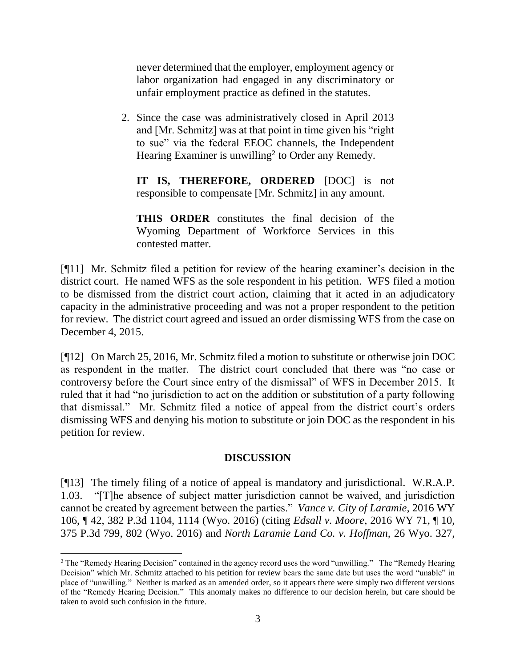never determined that the employer, employment agency or labor organization had engaged in any discriminatory or unfair employment practice as defined in the statutes.

2. Since the case was administratively closed in April 2013 and [Mr. Schmitz] was at that point in time given his "right to sue" via the federal EEOC channels, the Independent Hearing Examiner is unwilling<sup>2</sup> to Order any Remedy.

**IT IS, THEREFORE, ORDERED** [DOC] is not responsible to compensate [Mr. Schmitz] in any amount.

**THIS ORDER** constitutes the final decision of the Wyoming Department of Workforce Services in this contested matter.

[¶11] Mr. Schmitz filed a petition for review of the hearing examiner's decision in the district court. He named WFS as the sole respondent in his petition. WFS filed a motion to be dismissed from the district court action, claiming that it acted in an adjudicatory capacity in the administrative proceeding and was not a proper respondent to the petition for review. The district court agreed and issued an order dismissing WFS from the case on December 4, 2015.

[¶12] On March 25, 2016, Mr. Schmitz filed a motion to substitute or otherwise join DOC as respondent in the matter. The district court concluded that there was "no case or controversy before the Court since entry of the dismissal" of WFS in December 2015. It ruled that it had "no jurisdiction to act on the addition or substitution of a party following that dismissal." Mr. Schmitz filed a notice of appeal from the district court's orders dismissing WFS and denying his motion to substitute or join DOC as the respondent in his petition for review.

## **DISCUSSION**

[¶13] The timely filing of a notice of appeal is mandatory and jurisdictional. W.R.A.P. 1.03. "[T]he absence of subject matter jurisdiction cannot be waived, and jurisdiction cannot be created by agreement between the parties." *Vance v. City of Laramie,* 2016 WY 106, ¶ 42, 382 P.3d 1104, 1114 (Wyo. 2016) (citing *Edsall v. Moore,* [2016 WY 71, ¶ 10,](http://www.westlaw.com/Link/Document/FullText?findType=Y&serNum=2039404295&pubNum=0004645&originatingDoc=I2a3363f0a57011e6afc8be5a5c08bae9&refType=RP&fi=co_pp_sp_4645_801&originationContext=document&vr=3.0&rs=cblt1.0&transitionType=DocumentItem&contextData=(sc.Search)#co_pp_sp_4645_801)  [375 P.3d 799, 802 \(Wyo. 2016\)](http://www.westlaw.com/Link/Document/FullText?findType=Y&serNum=2039404295&pubNum=0004645&originatingDoc=I2a3363f0a57011e6afc8be5a5c08bae9&refType=RP&fi=co_pp_sp_4645_801&originationContext=document&vr=3.0&rs=cblt1.0&transitionType=DocumentItem&contextData=(sc.Search)#co_pp_sp_4645_801) and *[North Laramie Land Co. v. Hoffman,](http://www.westlaw.com/Link/Document/FullText?findType=Y&serNum=1919015684&pubNum=0000660&originatingDoc=I2a3363f0a57011e6afc8be5a5c08bae9&refType=RP&fi=co_pp_sp_660_228&originationContext=document&vr=3.0&rs=cblt1.0&transitionType=DocumentItem&contextData=(sc.Search)#co_pp_sp_660_228)* 26 Wyo. 327,

 $\overline{a}$ 

<sup>2</sup> The "Remedy Hearing Decision" contained in the agency record uses the word "unwilling." The "Remedy Hearing Decision" which Mr. Schmitz attached to his petition for review bears the same date but uses the word "unable" in place of "unwilling." Neither is marked as an amended order, so it appears there were simply two different versions of the "Remedy Hearing Decision." This anomaly makes no difference to our decision herein, but care should be taken to avoid such confusion in the future.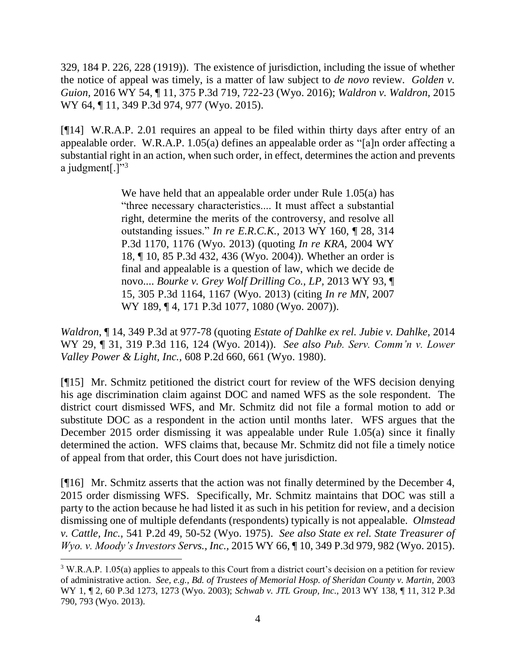[329, 184 P. 226, 228 \(1919\)\)](http://www.westlaw.com/Link/Document/FullText?findType=Y&serNum=1919015684&pubNum=0000660&originatingDoc=I2a3363f0a57011e6afc8be5a5c08bae9&refType=RP&fi=co_pp_sp_660_228&originationContext=document&vr=3.0&rs=cblt1.0&transitionType=DocumentItem&contextData=(sc.Search)#co_pp_sp_660_228). The existence of jurisdiction, including the issue of whether the notice of appeal was timely, is a matter of law subject to *de novo* review. *Golden v. Guion,* 2016 WY 54, ¶ 11, 375 P.3d 719, 722-23 (Wyo. 2016); *Waldron v. Waldron,* 2015 WY 64, ¶ 11, 349 P.3d 974, 977 (Wyo. 2015).

[¶14] W.R.A.P. 2.01 requires an appeal to be filed within thirty days after entry of an appealable order. W.R.A.P. 1.05(a) defines an appealable order as "[a]n order affecting a substantial right in an action, when such order, in effect, determines the action and prevents a judgment $[.]$ "<sup>3</sup>

> We have held that an appealable order under [Rule 1.05\(a\)](http://www.westlaw.com/Link/Document/FullText?findType=L&pubNum=1008793&cite=WYRRAPR1.05&originatingDoc=Iabc400f31cbb11e690d4edf60ce7d742&refType=LQ&originationContext=document&vr=3.0&rs=cblt1.0&transitionType=DocumentItem&contextData=(sc.Search)) has "three necessary characteristics.... It must affect a substantial right, determine the merits of the controversy, and resolve all outstanding issues." *In re E.R.C.K.,* [2013 WY 160, ¶ 28, 314](http://www.westlaw.com/Link/Document/FullText?findType=Y&serNum=2032410247&pubNum=0004645&originatingDoc=Iabc400f31cbb11e690d4edf60ce7d742&refType=RP&fi=co_pp_sp_4645_1176&originationContext=document&vr=3.0&rs=cblt1.0&transitionType=DocumentItem&contextData=(sc.Search)#co_pp_sp_4645_1176)  [P.3d 1170, 1176 \(Wyo.](http://www.westlaw.com/Link/Document/FullText?findType=Y&serNum=2032410247&pubNum=0004645&originatingDoc=Iabc400f31cbb11e690d4edf60ce7d742&refType=RP&fi=co_pp_sp_4645_1176&originationContext=document&vr=3.0&rs=cblt1.0&transitionType=DocumentItem&contextData=(sc.Search)#co_pp_sp_4645_1176) 2013) (quoting *[In re KRA,](http://www.westlaw.com/Link/Document/FullText?findType=Y&serNum=2004179759&pubNum=0004645&originatingDoc=Iabc400f31cbb11e690d4edf60ce7d742&refType=RP&fi=co_pp_sp_4645_436&originationContext=document&vr=3.0&rs=cblt1.0&transitionType=DocumentItem&contextData=(sc.Search)#co_pp_sp_4645_436)* 2004 WY [18, ¶ 10, 85 P.3d 432, 436 \(Wyo.](http://www.westlaw.com/Link/Document/FullText?findType=Y&serNum=2004179759&pubNum=0004645&originatingDoc=Iabc400f31cbb11e690d4edf60ce7d742&refType=RP&fi=co_pp_sp_4645_436&originationContext=document&vr=3.0&rs=cblt1.0&transitionType=DocumentItem&contextData=(sc.Search)#co_pp_sp_4645_436) 2004)). Whether an order is final and appealable is a question of law, which we decide de novo.... *[Bourke v. Grey Wolf Drilling Co., LP,](http://www.westlaw.com/Link/Document/FullText?findType=Y&serNum=2031194345&pubNum=0004645&originatingDoc=Iabc400f31cbb11e690d4edf60ce7d742&refType=RP&fi=co_pp_sp_4645_1167&originationContext=document&vr=3.0&rs=cblt1.0&transitionType=DocumentItem&contextData=(sc.Search)#co_pp_sp_4645_1167)* 2013 WY 93, ¶ [15, 305 P.3d 1164, 1167 \(Wyo.](http://www.westlaw.com/Link/Document/FullText?findType=Y&serNum=2031194345&pubNum=0004645&originatingDoc=Iabc400f31cbb11e690d4edf60ce7d742&refType=RP&fi=co_pp_sp_4645_1167&originationContext=document&vr=3.0&rs=cblt1.0&transitionType=DocumentItem&contextData=(sc.Search)#co_pp_sp_4645_1167) 2013) (citing *[In re MN,](http://www.westlaw.com/Link/Document/FullText?findType=Y&serNum=2014266525&pubNum=0004645&originatingDoc=Iabc400f31cbb11e690d4edf60ce7d742&refType=RP&fi=co_pp_sp_4645_1080&originationContext=document&vr=3.0&rs=cblt1.0&transitionType=DocumentItem&contextData=(sc.Search)#co_pp_sp_4645_1080)* 2007 WY 189, 14, 171 P.3d 1077, 1080 (Wyo. 2007)).

*Waldron*[, ¶ 14, 349 P.3d at](http://www.westlaw.com/Link/Document/FullText?findType=Y&serNum=2036187279&pubNum=0004645&originatingDoc=Iabc400f31cbb11e690d4edf60ce7d742&refType=RP&fi=co_pp_sp_4645_977&originationContext=document&vr=3.0&rs=cblt1.0&transitionType=DocumentItem&contextData=(sc.Search)#co_pp_sp_4645_977) 977-78 (quoting *[Estate of Dahlke ex rel. Jubie v. Dahlke,](http://www.westlaw.com/Link/Document/FullText?findType=Y&serNum=2032784720&pubNum=0004645&originatingDoc=Iabc400f31cbb11e690d4edf60ce7d742&refType=RP&fi=co_pp_sp_4645_124&originationContext=document&vr=3.0&rs=cblt1.0&transitionType=DocumentItem&contextData=(sc.Search)#co_pp_sp_4645_124)* 2014 [WY 29, ¶ 31, 319 P.3d 116, 124 \(Wyo. 2014\)\)](http://www.westlaw.com/Link/Document/FullText?findType=Y&serNum=2032784720&pubNum=0004645&originatingDoc=Iabc400f31cbb11e690d4edf60ce7d742&refType=RP&fi=co_pp_sp_4645_124&originationContext=document&vr=3.0&rs=cblt1.0&transitionType=DocumentItem&contextData=(sc.Search)#co_pp_sp_4645_124). *See also [Pub. Serv. Comm'n v. Lower](http://www.westlaw.com/Link/Document/FullText?findType=Y&serNum=1980109034&pubNum=0000661&originatingDoc=Iabc400f31cbb11e690d4edf60ce7d742&refType=RP&fi=co_pp_sp_661_661&originationContext=document&vr=3.0&rs=cblt1.0&transitionType=DocumentItem&contextData=(sc.Search)#co_pp_sp_661_661)  Valley Power & Light, Inc.,* [608 P.2d 660, 661 \(Wyo. 1980\).](http://www.westlaw.com/Link/Document/FullText?findType=Y&serNum=1980109034&pubNum=0000661&originatingDoc=Iabc400f31cbb11e690d4edf60ce7d742&refType=RP&fi=co_pp_sp_661_661&originationContext=document&vr=3.0&rs=cblt1.0&transitionType=DocumentItem&contextData=(sc.Search)#co_pp_sp_661_661)

[¶15] Mr. Schmitz petitioned the district court for review of the WFS decision denying his age discrimination claim against DOC and named WFS as the sole respondent. The district court dismissed WFS, and Mr. Schmitz did not file a formal motion to add or substitute DOC as a respondent in the action until months later. WFS argues that the December 2015 order dismissing it was appealable under Rule 1.05(a) since it finally determined the action. WFS claims that, because Mr. Schmitz did not file a timely notice of appeal from that order, this Court does not have jurisdiction.

[¶16] Mr. Schmitz asserts that the action was not finally determined by the December 4, 2015 order dismissing WFS. Specifically, Mr. Schmitz maintains that DOC was still a party to the action because he had listed it as such in his petition for review, and a decision dismissing one of multiple defendants (respondents) typically is not appealable. *Olmstead v. Cattle, Inc.,* 541 P.2d 49, 50-52 (Wyo. 1975). *See also State ex rel. State Treasurer of Wyo. v. Moody's Investors Servs., Inc.,* 2015 WY 66, ¶ 10, 349 P.3d 979, 982 (Wyo. 2015).

<sup>&</sup>lt;sup>3</sup> W.R.A.P. 1.05(a) applies to appeals to this Court from a district court's decision on a petition for review of administrative action. *See, e.g.*, *Bd. of Trustees of Memorial Hosp. of Sheridan County v. Martin,* 2003 WY 1, ¶ 2, 60 P.3d 1273, 1273 (Wyo. 2003); *Schwab v. JTL Group, Inc.,* 2013 WY 138, ¶ 11, 312 P.3d 790, 793 (Wyo. 2013).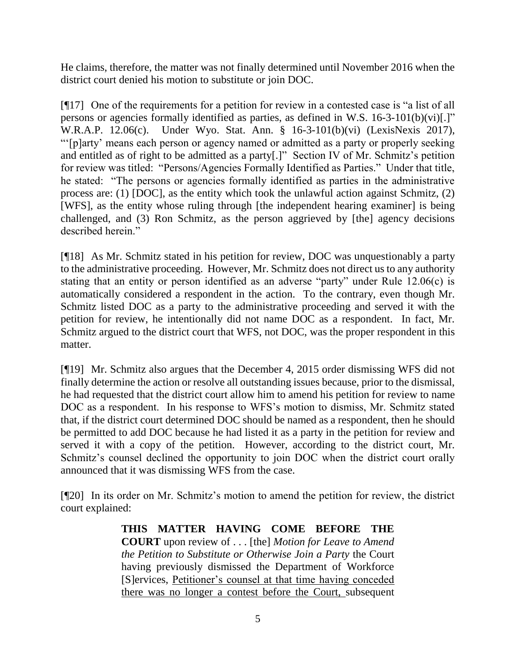He claims, therefore, the matter was not finally determined until November 2016 when the district court denied his motion to substitute or join DOC.

[¶17] One of the requirements for a petition for review in a contested case is "a list of all persons or agencies formally identified as parties, as defined in [W.S. 16-3-101\(b\)\(vi\)\[](http://www.westlaw.com/Link/Document/FullText?findType=L&pubNum=1000377&cite=WYSTS16-3-101&originatingDoc=N5DBEAB101B6011DD91439915CDABBB1A&refType=SP&originationContext=document&vr=3.0&rs=cblt1.0&transitionType=DocumentItem&contextData=(sc.UserEnteredCitation)#co_pp_8443000087914).]" W.R.A.P. 12.06(c). Under Wyo. Stat. Ann. § 16-3-101(b)(vi) (LexisNexis 2017), "'[p]arty' means each person or agency named or admitted as a party or properly seeking and entitled as of right to be admitted as a party[.]" Section IV of Mr. Schmitz's petition for review was titled: "Persons/Agencies Formally Identified as Parties." Under that title, he stated: "The persons or agencies formally identified as parties in the administrative process are: (1) [DOC], as the entity which took the unlawful action against Schmitz, (2) [WFS], as the entity whose ruling through [the independent hearing examiner] is being challenged, and (3) Ron Schmitz, as the person aggrieved by [the] agency decisions described herein."

[¶18] As Mr. Schmitz stated in his petition for review, DOC was unquestionably a party to the administrative proceeding. However, Mr. Schmitz does not direct us to any authority stating that an entity or person identified as an adverse "party" under Rule 12.06(c) is automatically considered a respondent in the action. To the contrary, even though Mr. Schmitz listed DOC as a party to the administrative proceeding and served it with the petition for review, he intentionally did not name DOC as a respondent. In fact, Mr. Schmitz argued to the district court that WFS, not DOC, was the proper respondent in this matter.

[¶19] Mr. Schmitz also argues that the December 4, 2015 order dismissing WFS did not finally determine the action or resolve all outstanding issues because, prior to the dismissal, he had requested that the district court allow him to amend his petition for review to name DOC as a respondent. In his response to WFS's motion to dismiss, Mr. Schmitz stated that, if the district court determined DOC should be named as a respondent, then he should be permitted to add DOC because he had listed it as a party in the petition for review and served it with a copy of the petition. However, according to the district court, Mr. Schmitz's counsel declined the opportunity to join DOC when the district court orally announced that it was dismissing WFS from the case.

[¶20] In its order on Mr. Schmitz's motion to amend the petition for review, the district court explained:

> **THIS MATTER HAVING COME BEFORE THE COURT** upon review of . . . [the] *Motion for Leave to Amend the Petition to Substitute or Otherwise Join a Party* the Court having previously dismissed the Department of Workforce [S]ervices, Petitioner's counsel at that time having conceded there was no longer a contest before the Court, subsequent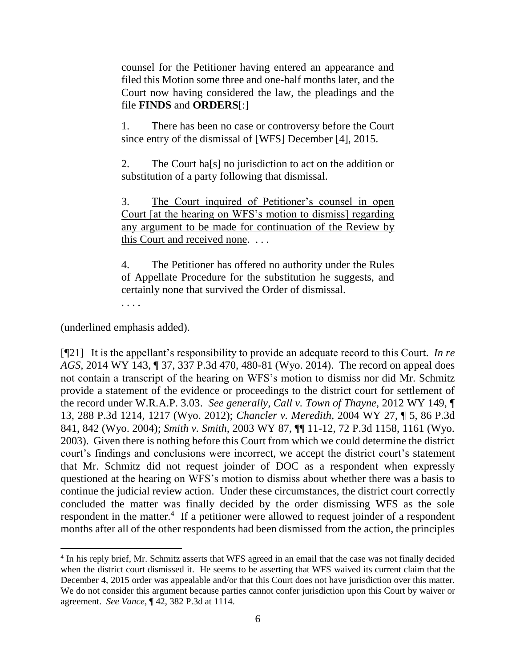counsel for the Petitioner having entered an appearance and filed this Motion some three and one-half months later, and the Court now having considered the law, the pleadings and the file **FINDS** and **ORDERS**[:]

1. There has been no case or controversy before the Court since entry of the dismissal of [WFS] December [4], 2015.

2. The Court ha[s] no jurisdiction to act on the addition or substitution of a party following that dismissal.

3. The Court inquired of Petitioner's counsel in open Court [at the hearing on WFS's motion to dismiss] regarding any argument to be made for continuation of the Review by this Court and received none. . . .

4. The Petitioner has offered no authority under the Rules of Appellate Procedure for the substitution he suggests, and certainly none that survived the Order of dismissal.

(underlined emphasis added).

. . . .

[¶21] It is the appellant's responsibility to provide an adequate record to this Court. *In re AGS,* 2014 WY 143, ¶ 37, 337 P.3d 470, 480-81 (Wyo. 2014). The record on appeal does not contain a transcript of the hearing on WFS's motion to dismiss nor did Mr. Schmitz provide a statement of the evidence or proceedings to the district court for settlement of the record under W.R.A.P. 3.03. *See generally, Call v. Town of Thayne,* 2012 WY 149, ¶ 13, 288 P.3d 1214, 1217 (Wyo. 2012); *Chancler v. Meredith,* 2004 WY 27, ¶ 5, 86 P.3d 841, 842 (Wyo. 2004); *Smith v. Smith,* 2003 WY 87, ¶¶ 11-12, 72 P.3d 1158, 1161 (Wyo. 2003). Given there is nothing before this Court from which we could determine the district court's findings and conclusions were incorrect, we accept the district court's statement that Mr. Schmitz did not request joinder of DOC as a respondent when expressly questioned at the hearing on WFS's motion to dismiss about whether there was a basis to continue the judicial review action. Under these circumstances, the district court correctly concluded the matter was finally decided by the order dismissing WFS as the sole respondent in the matter.<sup>4</sup> If a petitioner were allowed to request joinder of a respondent months after all of the other respondents had been dismissed from the action, the principles

<sup>&</sup>lt;sup>4</sup> In his reply brief, Mr. Schmitz asserts that WFS agreed in an email that the case was not finally decided when the district court dismissed it. He seems to be asserting that WFS waived its current claim that the December 4, 2015 order was appealable and/or that this Court does not have jurisdiction over this matter. We do not consider this argument because parties cannot confer jurisdiction upon this Court by waiver or agreement. *See Vance,* ¶ 42, 382 P.3d at 1114.